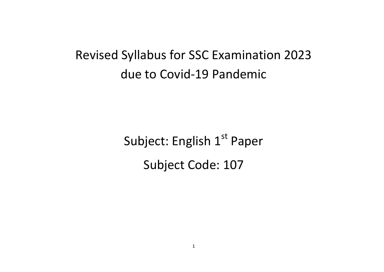# Revised Syllabus for SSC Examination 2023 due to Covid-19 Pandemic

Subject: English 1<sup>st</sup> Paper Subject Code: 107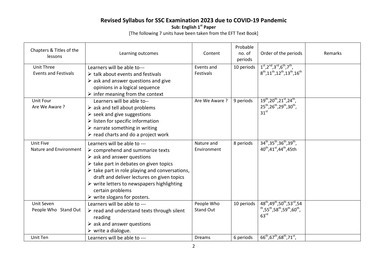## **Revised Syllabus for SSC Examination 2023 due to COVID-19 Pandemic**

**Sub: English 1st Paper**

[The following 7 units have been taken from the EFT Text Book]

| Chapters & Titles of the<br>lessons              | Learning outcomes                                                                                                                                                                                                                                                                                                                                                                                                                    | Content                        | Probable<br>no. of<br>periods | Order of the periods                                                                                                                                                                      | Remarks |
|--------------------------------------------------|--------------------------------------------------------------------------------------------------------------------------------------------------------------------------------------------------------------------------------------------------------------------------------------------------------------------------------------------------------------------------------------------------------------------------------------|--------------------------------|-------------------------------|-------------------------------------------------------------------------------------------------------------------------------------------------------------------------------------------|---------|
| <b>Unit Three</b><br><b>Events and Festivals</b> | Learners will be able to---<br>$\triangleright$ talk about events and festivals<br>$\triangleright$ ask and answer questions and give<br>opinions in a logical sequence<br>$\triangleright$ infer meaning from the context                                                                                                                                                                                                           | Events and<br>Festivals        | 10 periods                    | $1st, 2nd, 3rd, 6th, 7th$ ,<br>$8^{th}$ , 11 <sup>th</sup> , 12 <sup>th</sup> , 13 <sup>th</sup> , 16 <sup>th</sup>                                                                       |         |
| Unit Four<br>Are We Aware ?                      | Learners will be able to--<br>$\triangleright$ ask and tell about problems<br>$\triangleright$ seek and give suggestions<br>$\triangleright$ listen for specific information<br>$\triangleright$ narrate something in writing<br>$\triangleright$ read charts and do a project work                                                                                                                                                  | Are We Aware ?                 | 9 periods                     | $19^{th}$ , $20^{th}$ , $21^{st}$ , $24^{th}$ ,<br>$25^{th}$ , $26^{th}$ , $29^{th}$ , $30^{th}$ ,<br>31 <sup>st</sup>                                                                    |         |
| <b>Unit Five</b><br>Nature and Environment       | Learners will be able to ---<br>$\triangleright$ comprehend and summarize texts<br>$\triangleright$ ask and answer questions<br>$\triangleright$ take part in debates on given topics<br>$\triangleright$ take part in role playing and conversations,<br>draft and deliver lectures on given topics<br>$\triangleright$ write letters to newspapers highlighting<br>certain problems<br>$\triangleright$ write slogans for posters. | Nature and<br>Environment      | 8 periods                     | $34^{th}$ , $35^{th}$ , $36^{th}$ , $39^{th}$ ,<br>40 <sup>th</sup> ,41 <sup>st</sup> ,44 <sup>th</sup> ,45th                                                                             |         |
| Unit Seven<br>People Who Stand Out               | Learners will be able to ---<br>$\triangleright$ read and understand texts through silent<br>reading<br>$\triangleright$ ask and answer questions<br>$\triangleright$ write a dialogue.                                                                                                                                                                                                                                              | People Who<br><b>Stand Out</b> | 10 periods                    | 48 <sup>th</sup> ,49 <sup>th</sup> ,50 <sup>th</sup> ,53 <sup>rd</sup> ,54<br><sup>th</sup> ,55 <sup>th</sup> ,58 <sup>th</sup> ,59 <sup>th</sup> ,60 <sup>th</sup> ,<br>63 <sup>rd</sup> |         |
| Unit Ten                                         | Learners will be able to ---                                                                                                                                                                                                                                                                                                                                                                                                         | <b>Dreams</b>                  | 6 periods                     | $66^{\text{th}}$ , 67 <sup>th</sup> , 68 <sup>th</sup> , 71 <sup>st</sup> ,                                                                                                               |         |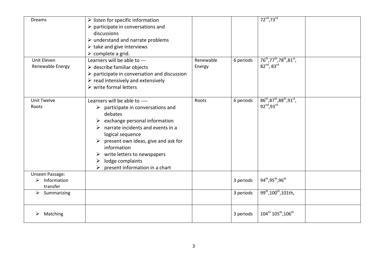| <b>Dreams</b>                                          | $\triangleright$ listen for specific information<br>$\triangleright$ participate in conversations and<br>discussions<br>$\triangleright$ understand and narrate problems<br>$\triangleright$ take and give interviews<br>$\triangleright$ complete a grid.                                                                                             |           |           | $72^{nd}$ , 73 $^{rd}$                                                        |  |
|--------------------------------------------------------|--------------------------------------------------------------------------------------------------------------------------------------------------------------------------------------------------------------------------------------------------------------------------------------------------------------------------------------------------------|-----------|-----------|-------------------------------------------------------------------------------|--|
| Unit Eleven                                            | Learners will be able to ---                                                                                                                                                                                                                                                                                                                           | Renewable | 6 periods | $76^{\text{th}}$ ,77 <sup>th</sup> ,78 <sup>th</sup> ,81 <sup>st</sup> ,      |  |
| Renewable Energy                                       | $\triangleright$ describe familiar objects<br>$\triangleright$ participate in conversation and discussion<br>$\triangleright$ read intensively and extensively<br>$\triangleright$ write formal letters                                                                                                                                                | Energy    |           | 82nd, 83rd                                                                    |  |
| <b>Unit Twelve</b><br>Roots                            | Learners will be able to ----<br>$\triangleright$ participate in conversations and<br>debates<br>exchange personal information<br>narrate incidents and events in a<br>➤<br>logical sequence<br>present own ideas, give and ask for<br>➤<br>information<br>write letters to newspapers<br>➤<br>lodge complaints<br>➤<br>present information in a chart | Roots     | 6 periods | $86^{th}, 87^{th}, 88^{th}, 91^{st}$ ,<br>92 <sup>nd</sup> , 93 <sup>rd</sup> |  |
| <b>Unseen Passage:</b><br>Information<br>➤<br>transfer |                                                                                                                                                                                                                                                                                                                                                        |           | 3 periods | 94th, 95th, 96th                                                              |  |
| Summarizing<br>➤                                       |                                                                                                                                                                                                                                                                                                                                                        |           | 3 periods | 99 <sup>th</sup> , 100 <sup>th</sup> , 101th,                                 |  |
| Matching                                               |                                                                                                                                                                                                                                                                                                                                                        |           | 3 periods | 104 <sup>th</sup> 105 <sup>th</sup> , 106 <sup>th</sup>                       |  |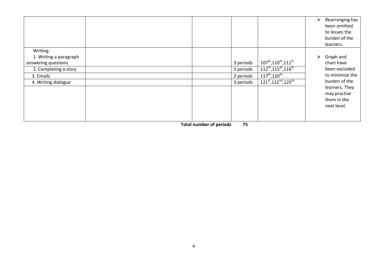|                                                                                                                        |                                                  | Rearranging has<br>➤<br>been omitted<br>to lessen the<br>burden of the<br>learners.                                                                                                                                                                                                                                            |  |
|------------------------------------------------------------------------------------------------------------------------|--------------------------------------------------|--------------------------------------------------------------------------------------------------------------------------------------------------------------------------------------------------------------------------------------------------------------------------------------------------------------------------------|--|
| Writing:<br>1. Writing a paragraph<br>answering questions<br>2. Completing a story<br>3. Emails<br>4. Writing dialogue | 3 periods<br>3 periods<br>2 periods<br>3 periods | ➤<br>Graph and<br>$107^{\text{th}}$ , $110^{\text{th}}$ , $111^{\text{th}}$<br>chart have<br>$112^{th}, 115^{th}, 116^{th}$<br>been excluded<br>to minimize the<br>$117^{th}, 120^{th}$<br>burden of the<br>$121^{st}$ , 122 <sup>nd</sup> , 125 <sup>th</sup><br>learners. They<br>may practise<br>them in the<br>next level. |  |

 **Total number of periods 75**